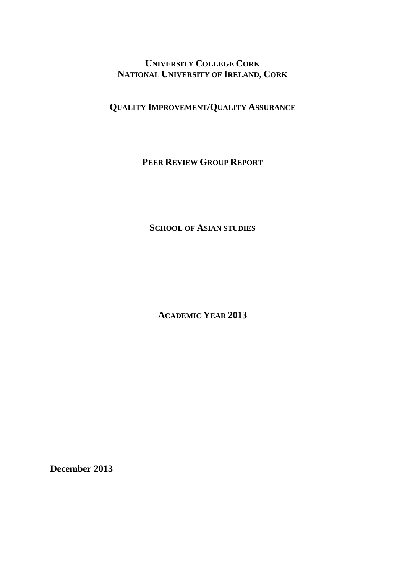# **UNIVERSITY COLLEGE CORK NATIONAL UNIVERSITY OF IRELAND, CORK**

**QUALITY IMPROVEMENT/QUALITY ASSURANCE**

**PEER REVIEW GROUP REPORT**

**SCHOOL OF ASIAN STUDIES**

**ACADEMIC YEAR 2013** 

**December 2013**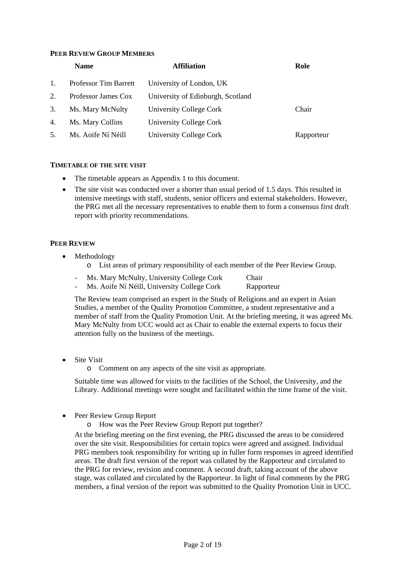#### **PEER REVIEW GROUP MEMBERS**

| <b>Name</b> |                       | <b>Affiliation</b>                | Role       |  |
|-------------|-----------------------|-----------------------------------|------------|--|
| 1.          | Professor Tim Barrett | University of London, UK          |            |  |
| 2.          | Professor James Cox   | University of Edinburgh, Scotland |            |  |
| 3.          | Ms. Mary McNulty      | University College Cork           | Chair      |  |
| 4.          | Ms. Mary Collins      | University College Cork           |            |  |
| 5.          | Ms. Aoife Ní Néill    | University College Cork           | Rapporteur |  |

#### **TIMETABLE OF THE SITE VISIT**

- The timetable appears as Appendix 1 to this document.
- The site visit was conducted over a shorter than usual period of 1.5 days. This resulted in intensive meetings with staff, students, senior officers and external stakeholders. However, the PRG met all the necessary representatives to enable them to form a consensus first draft report with priority recommendations.

### **PEER REVIEW**

- Methodology
	- o List areas of primary responsibility of each member of the Peer Review Group.
	- Ms. Mary McNulty, University College Cork Chair
	- Ms. Aoife Ní Néill, University College Cork Rapporteur

The Review team comprised an expert in the Study of Religions and an expert in Asian Studies, a member of the Quality Promotion Committee, a student representative and a member of staff from the Quality Promotion Unit. At the briefing meeting, it was agreed Ms. Mary McNulty from UCC would act as Chair to enable the external experts to focus their attention fully on the business of the meetings.

- Site Visit
	- o Comment on any aspects of the site visit as appropriate.

Suitable time was allowed for visits to the facilities of the School, the University, and the Library. Additional meetings were sought and facilitated within the time frame of the visit.

- Peer Review Group Report
	- o How was the Peer Review Group Report put together?

At the briefing meeting on the first evening, the PRG discussed the areas to be considered over the site visit. Responsibilities for certain topics were agreed and assigned. Individual PRG members took responsibility for writing up in fuller form responses in agreed identified areas. The draft first version of the report was collated by the Rapporteur and circulated to the PRG for review, revision and comment. A second draft, taking account of the above stage, was collated and circulated by the Rapporteur. In light of final comments by the PRG members, a final version of the report was submitted to the Quality Promotion Unit in UCC.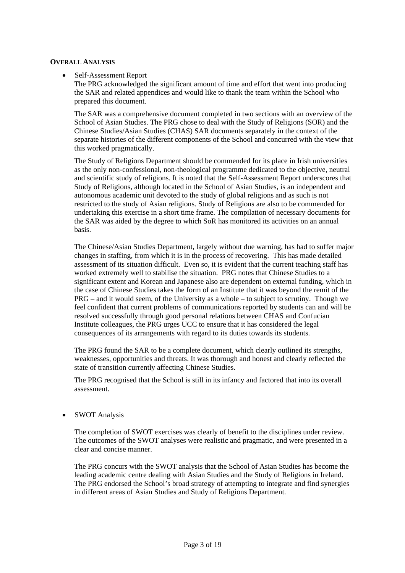#### **OVERALL ANALYSIS**

#### Self-Assessment Report

The PRG acknowledged the significant amount of time and effort that went into producing the SAR and related appendices and would like to thank the team within the School who prepared this document.

The SAR was a comprehensive document completed in two sections with an overview of the School of Asian Studies. The PRG chose to deal with the Study of Religions (SOR) and the Chinese Studies/Asian Studies (CHAS) SAR documents separately in the context of the separate histories of the different components of the School and concurred with the view that this worked pragmatically.

The Study of Religions Department should be commended for its place in Irish universities as the only non-confessional, non-theological programme dedicated to the objective, neutral and scientific study of religions. It is noted that the Self-Assessment Report underscores that Study of Religions, although located in the School of Asian Studies, is an independent and autonomous academic unit devoted to the study of global religions and as such is not restricted to the study of Asian religions. Study of Religions are also to be commended for undertaking this exercise in a short time frame. The compilation of necessary documents for the SAR was aided by the degree to which SoR has monitored its activities on an annual basis.

The Chinese/Asian Studies Department, largely without due warning, has had to suffer major changes in staffing, from which it is in the process of recovering. This has made detailed assessment of its situation difficult. Even so, it is evident that the current teaching staff has worked extremely well to stabilise the situation. PRG notes that Chinese Studies to a significant extent and Korean and Japanese also are dependent on external funding, which in the case of Chinese Studies takes the form of an Institute that it was beyond the remit of the PRG – and it would seem, of the University as a whole – to subject to scrutiny. Though we feel confident that current problems of communications reported by students can and will be resolved successfully through good personal relations between CHAS and Confucian Institute colleagues, the PRG urges UCC to ensure that it has considered the legal consequences of its arrangements with regard to its duties towards its students.

The PRG found the SAR to be a complete document, which clearly outlined its strengths, weaknesses, opportunities and threats. It was thorough and honest and clearly reflected the state of transition currently affecting Chinese Studies.

The PRG recognised that the School is still in its infancy and factored that into its overall assessment.

#### SWOT Analysis

The completion of SWOT exercises was clearly of benefit to the disciplines under review. The outcomes of the SWOT analyses were realistic and pragmatic, and were presented in a clear and concise manner.

The PRG concurs with the SWOT analysis that the School of Asian Studies has become the leading academic centre dealing with Asian Studies and the Study of Religions in Ireland. The PRG endorsed the School's broad strategy of attempting to integrate and find synergies in different areas of Asian Studies and Study of Religions Department.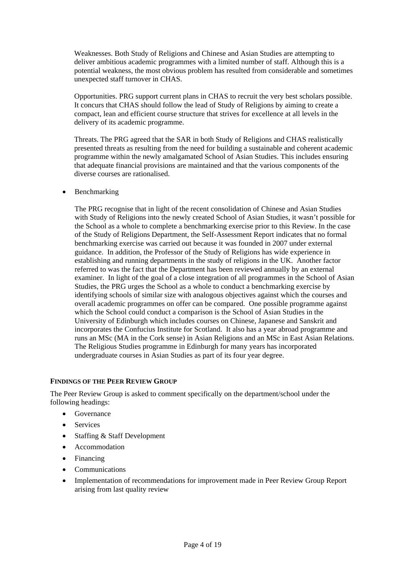Weaknesses. Both Study of Religions and Chinese and Asian Studies are attempting to deliver ambitious academic programmes with a limited number of staff. Although this is a potential weakness, the most obvious problem has resulted from considerable and sometimes unexpected staff turnover in CHAS.

Opportunities. PRG support current plans in CHAS to recruit the very best scholars possible. It concurs that CHAS should follow the lead of Study of Religions by aiming to create a compact, lean and efficient course structure that strives for excellence at all levels in the delivery of its academic programme.

Threats. The PRG agreed that the SAR in both Study of Religions and CHAS realistically presented threats as resulting from the need for building a sustainable and coherent academic programme within the newly amalgamated School of Asian Studies. This includes ensuring that adequate financial provisions are maintained and that the various components of the diverse courses are rationalised.

• Benchmarking

The PRG recognise that in light of the recent consolidation of Chinese and Asian Studies with Study of Religions into the newly created School of Asian Studies, it wasn't possible for the School as a whole to complete a benchmarking exercise prior to this Review. In the case of the Study of Religions Department, the Self-Assessment Report indicates that no formal benchmarking exercise was carried out because it was founded in 2007 under external guidance. In addition, the Professor of the Study of Religions has wide experience in establishing and running departments in the study of religions in the UK. Another factor referred to was the fact that the Department has been reviewed annually by an external examiner. In light of the goal of a close integration of all programmes in the School of Asian Studies, the PRG urges the School as a whole to conduct a benchmarking exercise by identifying schools of similar size with analogous objectives against which the courses and overall academic programmes on offer can be compared. One possible programme against which the School could conduct a comparison is the School of Asian Studies in the University of Edinburgh which includes courses on Chinese, Japanese and Sanskrit and incorporates the Confucius Institute for Scotland. It also has a year abroad programme and runs an MSc (MA in the Cork sense) in Asian Religions and an MSc in East Asian Relations. The Religious Studies programme in Edinburgh for many years has incorporated undergraduate courses in Asian Studies as part of its four year degree.

#### **FINDINGS OF THE PEER REVIEW GROUP**

The Peer Review Group is asked to comment specifically on the department/school under the following headings:

- Governance
- Services
- Staffing & Staff Development
- Accommodation
- Financing
- Communications
- Implementation of recommendations for improvement made in Peer Review Group Report arising from last quality review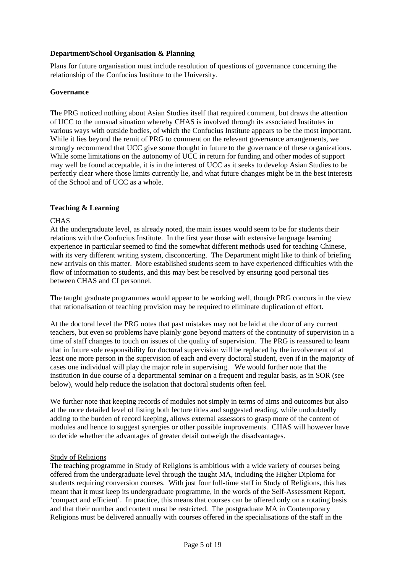## **Department/School Organisation & Planning**

Plans for future organisation must include resolution of questions of governance concerning the relationship of the Confucius Institute to the University.

#### **Governance**

The PRG noticed nothing about Asian Studies itself that required comment, but draws the attention of UCC to the unusual situation whereby CHAS is involved through its associated Institutes in various ways with outside bodies, of which the Confucius Institute appears to be the most important. While it lies beyond the remit of PRG to comment on the relevant governance arrangements, we strongly recommend that UCC give some thought in future to the governance of these organizations. While some limitations on the autonomy of UCC in return for funding and other modes of support may well be found acceptable, it is in the interest of UCC as it seeks to develop Asian Studies to be perfectly clear where those limits currently lie, and what future changes might be in the best interests of the School and of UCC as a whole.

## **Teaching & Learning**

## **CHAS**

At the undergraduate level, as already noted, the main issues would seem to be for students their relations with the Confucius Institute. In the first year those with extensive language learning experience in particular seemed to find the somewhat different methods used for teaching Chinese, with its very different writing system, disconcerting. The Department might like to think of briefing new arrivals on this matter. More established students seem to have experienced difficulties with the flow of information to students, and this may best be resolved by ensuring good personal ties between CHAS and CI personnel.

The taught graduate programmes would appear to be working well, though PRG concurs in the view that rationalisation of teaching provision may be required to eliminate duplication of effort.

At the doctoral level the PRG notes that past mistakes may not be laid at the door of any current teachers, but even so problems have plainly gone beyond matters of the continuity of supervision in a time of staff changes to touch on issues of the quality of supervision. The PRG is reassured to learn that in future sole responsibility for doctoral supervision will be replaced by the involvement of at least one more person in the supervision of each and every doctoral student, even if in the majority of cases one individual will play the major role in supervising. We would further note that the institution in due course of a departmental seminar on a frequent and regular basis, as in SOR (see below), would help reduce the isolation that doctoral students often feel.

We further note that keeping records of modules not simply in terms of aims and outcomes but also at the more detailed level of listing both lecture titles and suggested reading, while undoubtedly adding to the burden of record keeping, allows external assessors to grasp more of the content of modules and hence to suggest synergies or other possible improvements. CHAS will however have to decide whether the advantages of greater detail outweigh the disadvantages.

#### Study of Religions

The teaching programme in Study of Religions is ambitious with a wide variety of courses being offered from the undergraduate level through the taught MA, including the Higher Diploma for students requiring conversion courses. With just four full-time staff in Study of Religions, this has meant that it must keep its undergraduate programme, in the words of the Self-Assessment Report, 'compact and efficient'. In practice, this means that courses can be offered only on a rotating basis and that their number and content must be restricted. The postgraduate MA in Contemporary Religions must be delivered annually with courses offered in the specialisations of the staff in the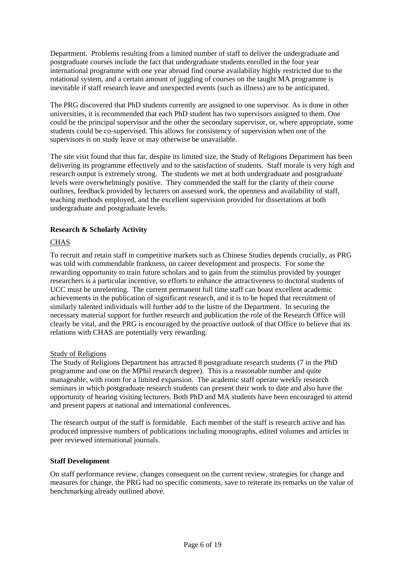Department. Problems resulting from a limited number of staff to deliver the undergraduate and postgraduate courses include the fact that undergraduate students enrolled in the four year international programme with one year abroad find course availability highly restricted due to the rotational system, and a certain amount of juggling of courses on the taught MA programme is inevitable if staff research leave and unexpected events (such as illness) are to be anticipated.

The PRG discovered that PhD students currently are assigned to one supervisor. As is done in other universities, it is recommended that each PhD student has two supervisors assigned to them. One could be the principal supervisor and the other the secondary supervisor, or, where appropriate, some students could be co-supervised. This allows for consistency of supervision when one of the supervisors is on study leave or may otherwise be unavailable.

The site visit found that thus far, despite its limited size, the Study of Religions Department has been delivering its programme effectively and to the satisfaction of students. Staff morale is very high and research output is extremely strong. The students we met at both undergraduate and postgraduate levels were overwhelmingly positive. They commended the staff for the clarity of their course outlines, feedback provided by lecturers on assessed work, the openness and availability of staff, teaching methods employed, and the excellent supervision provided for dissertations at both undergraduate and postgraduate levels.

## **Research & Scholarly Activity**

## **CHAS**

To recruit and retain staff in competitive markets such as Chinese Studies depends crucially, as PRG was told with commendable frankness, on career development and prospects. For some the rewarding opportunity to train future scholars and to gain from the stimulus provided by younger researchers is a particular incentive, so efforts to enhance the attractiveness to doctoral students of UCC must be unrelenting. The current permanent full time staff can boast excellent academic achievements in the publication of significant research, and it is to be hoped that recruitment of similarly talented individuals will further add to the lustre of the Department. In securing the necessary material support for further research and publication the role of the Research Office will clearly be vital, and the PRG is encouraged by the proactive outlook of that Office to believe that its relations with CHAS are potentially very rewarding.

#### Study of Religions

The Study of Religions Department has attracted 8 postgraduate research students (7 in the PhD programme and one on the MPhil research degree). This is a reasonable number and quite manageable, with room for a limited expansion. The academic staff operate weekly research seminars in which postgraduate research students can present their work to date and also have the opportunity of hearing visiting lecturers. Both PhD and MA students have been encouraged to attend and present papers at national and international conferences.

The research output of the staff is formidable. Each member of the staff is research active and has produced impressive numbers of publications including monographs, edited volumes and articles in peer reviewed international journals.

#### **Staff Development**

On staff performance review, changes consequent on the current review, strategies for change and measures for change, the PRG had no specific comments, save to reiterate its remarks on the value of benchmarking already outlined above.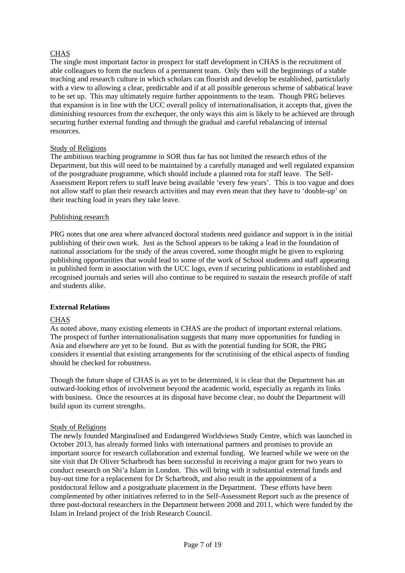## CHAS

The single most important factor in prospect for staff development in CHAS is the recruitment of able colleagues to form the nucleus of a permanent team. Only then will the beginnings of a stable teaching and research culture in which scholars can flourish and develop be established, particularly with a view to allowing a clear, predictable and if at all possible generous scheme of sabbatical leave to be set up. This may ultimately require further appointments to the team. Though PRG believes that expansion is in line with the UCC overall policy of internationalisation, it accepts that, given the diminishing resources from the exchequer, the only ways this aim is likely to be achieved are through securing further external funding and through the gradual and careful rebalancing of internal resources.

## Study of Religions

The ambitious teaching programme in SOR thus far has not limited the research ethos of the Department, but this will need to be maintained by a carefully managed and well regulated expansion of the postgraduate programme, which should include a planned rota for staff leave. The Self-Assessment Report refers to staff leave being available 'every few years'. This is too vague and does not allow staff to plan their research activities and may even mean that they have to 'double-up' on their teaching load in years they take leave.

## Publishing research

PRG notes that one area where advanced doctoral students need guidance and support is in the initial publishing of their own work. Just as the School appears to be taking a lead in the foundation of national associations for the study of the areas covered, some thought might be given to exploring publishing opportunities that would lead to some of the work of School students and staff appearing in published form in association with the UCC logo, even if securing publications in established and recognised journals and series will also continue to be required to sustain the research profile of staff and students alike.

## **External Relations**

## CHAS

As noted above, many existing elements in CHAS are the product of important external relations. The prospect of further internationalisation suggests that many more opportunities for funding in Asia and elsewhere are yet to be found. But as with the potential funding for SOR, the PRG considers it essential that existing arrangements for the scrutinising of the ethical aspects of funding should be checked for robustness.

Though the future shape of CHAS is as yet to be determined, it is clear that the Department has an outward-looking ethos of involvement beyond the academic world, especially as regards its links with business. Once the resources at its disposal have become clear, no doubt the Department will build upon its current strengths.

#### Study of Religions

The newly founded Marginalised and Endangered Worldviews Study Centre, which was launched in October 2013, has already formed links with international partners and promises to provide an important source for research collaboration and external funding. We learned while we were on the site visit that Dr Oliver Scharbrodt has been successful in receiving a major grant for two years to conduct research on Shi'a Islam in London. This will bring with it substantial external funds and buy-out time for a replacement for Dr Scharbrodt, and also result in the appointment of a postdoctoral fellow and a postgraduate placement in the Department. These efforts have been complemented by other initiatives referred to in the Self-Assessment Report such as the presence of three post-doctoral researchers in the Department between 2008 and 2011, which were funded by the Islam in Ireland project of the Irish Research Council.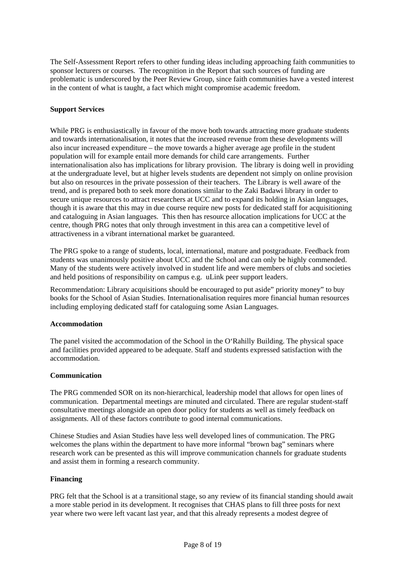The Self-Assessment Report refers to other funding ideas including approaching faith communities to sponsor lecturers or courses. The recognition in the Report that such sources of funding are problematic is underscored by the Peer Review Group, since faith communities have a vested interest in the content of what is taught, a fact which might compromise academic freedom.

## **Support Services**

While PRG is enthusiastically in favour of the move both towards attracting more graduate students and towards internationalisation, it notes that the increased revenue from these developments will also incur increased expenditure – the move towards a higher average age profile in the student population will for example entail more demands for child care arrangements. Further internationalisation also has implications for library provision. The library is doing well in providing at the undergraduate level, but at higher levels students are dependent not simply on online provision but also on resources in the private possession of their teachers. The Library is well aware of the trend, and is prepared both to seek more donations similar to the Zaki Badawi library in order to secure unique resources to attract researchers at UCC and to expand its holding in Asian languages, though it is aware that this may in due course require new posts for dedicated staff for acquisitioning and cataloguing in Asian languages. This then has resource allocation implications for UCC at the centre, though PRG notes that only through investment in this area can a competitive level of attractiveness in a vibrant international market be guaranteed.

The PRG spoke to a range of students, local, international, mature and postgraduate. Feedback from students was unanimously positive about UCC and the School and can only be highly commended. Many of the students were actively involved in student life and were members of clubs and societies and held positions of responsibility on campus e.g. uLink peer support leaders.

Recommendation: Library acquisitions should be encouraged to put aside" priority money" to buy books for the School of Asian Studies. Internationalisation requires more financial human resources including employing dedicated staff for cataloguing some Asian Languages.

#### **Accommodation**

The panel visited the accommodation of the School in the O'Rahilly Building. The physical space and facilities provided appeared to be adequate. Staff and students expressed satisfaction with the accommodation.

## **Communication**

The PRG commended SOR on its non-hierarchical, leadership model that allows for open lines of communication. Departmental meetings are minuted and circulated. There are regular student-staff consultative meetings alongside an open door policy for students as well as timely feedback on assignments. All of these factors contribute to good internal communications.

Chinese Studies and Asian Studies have less well developed lines of communication. The PRG welcomes the plans within the department to have more informal "brown bag" seminars where research work can be presented as this will improve communication channels for graduate students and assist them in forming a research community.

#### **Financing**

PRG felt that the School is at a transitional stage, so any review of its financial standing should await a more stable period in its development. It recognises that CHAS plans to fill three posts for next year where two were left vacant last year, and that this already represents a modest degree of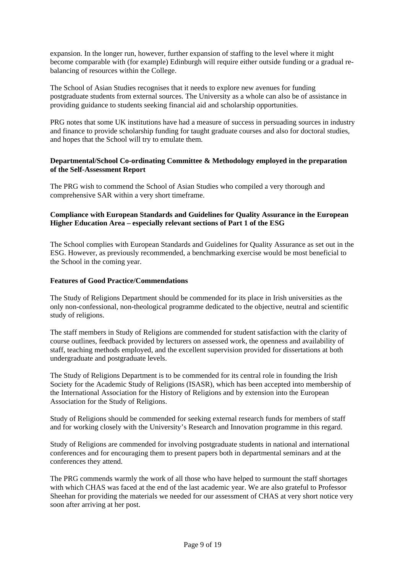expansion. In the longer run, however, further expansion of staffing to the level where it might become comparable with (for example) Edinburgh will require either outside funding or a gradual rebalancing of resources within the College.

The School of Asian Studies recognises that it needs to explore new avenues for funding postgraduate students from external sources. The University as a whole can also be of assistance in providing guidance to students seeking financial aid and scholarship opportunities.

PRG notes that some UK institutions have had a measure of success in persuading sources in industry and finance to provide scholarship funding for taught graduate courses and also for doctoral studies, and hopes that the School will try to emulate them.

## **Departmental/School Co-ordinating Committee & Methodology employed in the preparation of the Self-Assessment Report**

The PRG wish to commend the School of Asian Studies who compiled a very thorough and comprehensive SAR within a very short timeframe.

## **Compliance with European Standards and Guidelines for Quality Assurance in the European Higher Education Area – especially relevant sections of Part 1 of the ESG**

The School complies with European Standards and Guidelines for Quality Assurance as set out in the ESG. However, as previously recommended, a benchmarking exercise would be most beneficial to the School in the coming year.

#### **Features of Good Practice/Commendations**

The Study of Religions Department should be commended for its place in Irish universities as the only non-confessional, non-theological programme dedicated to the objective, neutral and scientific study of religions.

The staff members in Study of Religions are commended for student satisfaction with the clarity of course outlines, feedback provided by lecturers on assessed work, the openness and availability of staff, teaching methods employed, and the excellent supervision provided for dissertations at both undergraduate and postgraduate levels.

The Study of Religions Department is to be commended for its central role in founding the Irish Society for the Academic Study of Religions (ISASR), which has been accepted into membership of the International Association for the History of Religions and by extension into the European Association for the Study of Religions.

Study of Religions should be commended for seeking external research funds for members of staff and for working closely with the University's Research and Innovation programme in this regard.

Study of Religions are commended for involving postgraduate students in national and international conferences and for encouraging them to present papers both in departmental seminars and at the conferences they attend.

The PRG commends warmly the work of all those who have helped to surmount the staff shortages with which CHAS was faced at the end of the last academic year. We are also grateful to Professor Sheehan for providing the materials we needed for our assessment of CHAS at very short notice very soon after arriving at her post.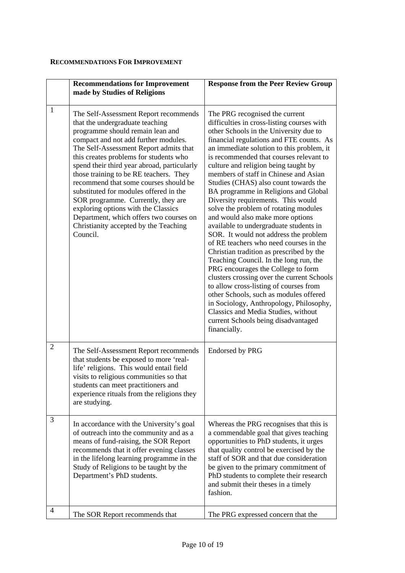## **RECOMMENDATIONS FOR IMPROVEMENT**

|   | <b>Recommendations for Improvement</b><br>made by Studies of Religions                                                                                                                                                                                                                                                                                                                                                                                                                                                                                                                            | <b>Response from the Peer Review Group</b>                                                                                                                                                                                                                                                                                                                                                                                                                                                                                                                                                                                                                                                                                                                                                                                                                                                                                                                                                                                                                                          |
|---|---------------------------------------------------------------------------------------------------------------------------------------------------------------------------------------------------------------------------------------------------------------------------------------------------------------------------------------------------------------------------------------------------------------------------------------------------------------------------------------------------------------------------------------------------------------------------------------------------|-------------------------------------------------------------------------------------------------------------------------------------------------------------------------------------------------------------------------------------------------------------------------------------------------------------------------------------------------------------------------------------------------------------------------------------------------------------------------------------------------------------------------------------------------------------------------------------------------------------------------------------------------------------------------------------------------------------------------------------------------------------------------------------------------------------------------------------------------------------------------------------------------------------------------------------------------------------------------------------------------------------------------------------------------------------------------------------|
| 1 | The Self-Assessment Report recommends<br>that the undergraduate teaching<br>programme should remain lean and<br>compact and not add further modules.<br>The Self-Assessment Report admits that<br>this creates problems for students who<br>spend their third year abroad, particularly<br>those training to be RE teachers. They<br>recommend that some courses should be<br>substituted for modules offered in the<br>SOR programme. Currently, they are<br>exploring options with the Classics<br>Department, which offers two courses on<br>Christianity accepted by the Teaching<br>Council. | The PRG recognised the current<br>difficulties in cross-listing courses with<br>other Schools in the University due to<br>financial regulations and FTE counts. As<br>an immediate solution to this problem, it<br>is recommended that courses relevant to<br>culture and religion being taught by<br>members of staff in Chinese and Asian<br>Studies (CHAS) also count towards the<br>BA programme in Religions and Global<br>Diversity requirements. This would<br>solve the problem of rotating modules<br>and would also make more options<br>available to undergraduate students in<br>SOR. It would not address the problem<br>of RE teachers who need courses in the<br>Christian tradition as prescribed by the<br>Teaching Council. In the long run, the<br>PRG encourages the College to form<br>clusters crossing over the current Schools<br>to allow cross-listing of courses from<br>other Schools, such as modules offered<br>in Sociology, Anthropology, Philosophy,<br>Classics and Media Studies, without<br>current Schools being disadvantaged<br>financially. |
| 2 | The Self-Assessment Report recommends<br>that students be exposed to more 'real-<br>life' religions. This would entail field<br>visits to religious communities so that<br>students can meet practitioners and<br>experience rituals from the religions they<br>are studying.                                                                                                                                                                                                                                                                                                                     | Endorsed by PRG                                                                                                                                                                                                                                                                                                                                                                                                                                                                                                                                                                                                                                                                                                                                                                                                                                                                                                                                                                                                                                                                     |
| 3 | In accordance with the University's goal<br>of outreach into the community and as a<br>means of fund-raising, the SOR Report<br>recommends that it offer evening classes<br>in the lifelong learning programme in the<br>Study of Religions to be taught by the<br>Department's PhD students.                                                                                                                                                                                                                                                                                                     | Whereas the PRG recognises that this is<br>a commendable goal that gives teaching<br>opportunities to PhD students, it urges<br>that quality control be exercised by the<br>staff of SOR and that due consideration<br>be given to the primary commitment of<br>PhD students to complete their research<br>and submit their theses in a timely<br>fashion.                                                                                                                                                                                                                                                                                                                                                                                                                                                                                                                                                                                                                                                                                                                          |
| 4 | The SOR Report recommends that                                                                                                                                                                                                                                                                                                                                                                                                                                                                                                                                                                    | The PRG expressed concern that the                                                                                                                                                                                                                                                                                                                                                                                                                                                                                                                                                                                                                                                                                                                                                                                                                                                                                                                                                                                                                                                  |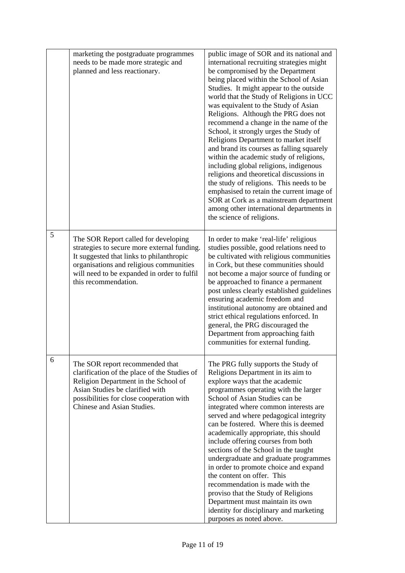|   | marketing the postgraduate programmes<br>needs to be made more strategic and<br>planned and less reactionary.                                                                                                                                     | public image of SOR and its national and<br>international recruiting strategies might<br>be compromised by the Department<br>being placed within the School of Asian<br>Studies. It might appear to the outside<br>world that the Study of Religions in UCC<br>was equivalent to the Study of Asian<br>Religions. Although the PRG does not<br>recommend a change in the name of the<br>School, it strongly urges the Study of<br>Religions Department to market itself<br>and brand its courses as falling squarely<br>within the academic study of religions,<br>including global religions, indigenous<br>religions and theoretical discussions in<br>the study of religions. This needs to be<br>emphasised to retain the current image of<br>SOR at Cork as a mainstream department<br>among other international departments in<br>the science of religions. |
|---|---------------------------------------------------------------------------------------------------------------------------------------------------------------------------------------------------------------------------------------------------|-------------------------------------------------------------------------------------------------------------------------------------------------------------------------------------------------------------------------------------------------------------------------------------------------------------------------------------------------------------------------------------------------------------------------------------------------------------------------------------------------------------------------------------------------------------------------------------------------------------------------------------------------------------------------------------------------------------------------------------------------------------------------------------------------------------------------------------------------------------------|
| 5 | The SOR Report called for developing<br>strategies to secure more external funding.<br>It suggested that links to philanthropic<br>organisations and religious communities<br>will need to be expanded in order to fulfil<br>this recommendation. | In order to make 'real-life' religious<br>studies possible, good relations need to<br>be cultivated with religious communities<br>in Cork, but these communities should<br>not become a major source of funding or<br>be approached to finance a permanent<br>post unless clearly established guidelines<br>ensuring academic freedom and<br>institutional autonomy are obtained and<br>strict ethical regulations enforced. In<br>general, the PRG discouraged the<br>Department from approaching faith<br>communities for external funding.                                                                                                                                                                                                                                                                                                                     |
| 6 | The SOR report recommended that<br>clarification of the place of the Studies of<br>Religion Department in the School of<br>Asian Studies be clarified with<br>possibilities for close cooperation with<br>Chinese and Asian Studies.              | The PRG fully supports the Study of<br>Religions Department in its aim to<br>explore ways that the academic<br>programmes operating with the larger<br>School of Asian Studies can be<br>integrated where common interests are<br>served and where pedagogical integrity<br>can be fostered. Where this is deemed<br>academically appropriate, this should<br>include offering courses from both<br>sections of the School in the taught<br>undergraduate and graduate programmes<br>in order to promote choice and expand<br>the content on offer. This<br>recommendation is made with the<br>proviso that the Study of Religions<br>Department must maintain its own<br>identity for disciplinary and marketing<br>purposes as noted above.                                                                                                                     |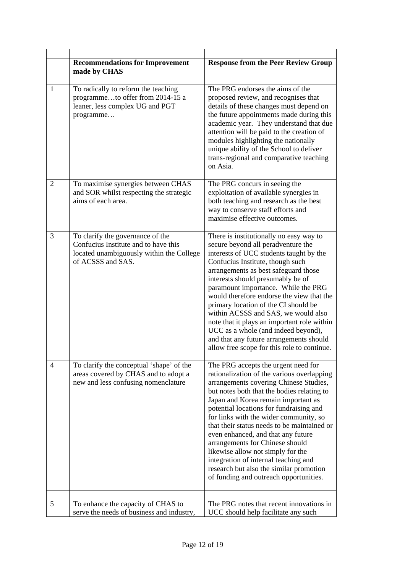|                | <b>Recommendations for Improvement</b><br>made by CHAS                                                                                    | <b>Response from the Peer Review Group</b>                                                                                                                                                                                                                                                                                                                                                                                                                                                                                                                                                      |
|----------------|-------------------------------------------------------------------------------------------------------------------------------------------|-------------------------------------------------------------------------------------------------------------------------------------------------------------------------------------------------------------------------------------------------------------------------------------------------------------------------------------------------------------------------------------------------------------------------------------------------------------------------------------------------------------------------------------------------------------------------------------------------|
| 1              | To radically to reform the teaching<br>programmeto offer from 2014-15 a<br>leaner, less complex UG and PGT<br>programme                   | The PRG endorses the aims of the<br>proposed review, and recognises that<br>details of these changes must depend on<br>the future appointments made during this<br>academic year. They understand that due<br>attention will be paid to the creation of<br>modules highlighting the nationally<br>unique ability of the School to deliver<br>trans-regional and comparative teaching<br>on Asia.                                                                                                                                                                                                |
| $\overline{2}$ | To maximise synergies between CHAS<br>and SOR whilst respecting the strategic<br>aims of each area.                                       | The PRG concurs in seeing the<br>exploitation of available synergies in<br>both teaching and research as the best<br>way to conserve staff efforts and<br>maximise effective outcomes.                                                                                                                                                                                                                                                                                                                                                                                                          |
| 3              | To clarify the governance of the<br>Confucius Institute and to have this<br>located unambiguously within the College<br>of ACSSS and SAS. | There is institutionally no easy way to<br>secure beyond all peradventure the<br>interests of UCC students taught by the<br>Confucius Institute, though such<br>arrangements as best safeguard those<br>interests should presumably be of<br>paramount importance. While the PRG<br>would therefore endorse the view that the<br>primary location of the CI should be<br>within ACSSS and SAS, we would also<br>note that it plays an important role within<br>UCC as a whole (and indeed beyond),<br>and that any future arrangements should<br>allow free scope for this role to continue.    |
| 4              | To clarify the conceptual 'shape' of the<br>areas covered by CHAS and to adopt a<br>new and less confusing nomenclature                   | The PRG accepts the urgent need for<br>rationalization of the various overlapping<br>arrangements covering Chinese Studies,<br>but notes both that the bodies relating to<br>Japan and Korea remain important as<br>potential locations for fundraising and<br>for links with the wider community, so<br>that their status needs to be maintained or<br>even enhanced, and that any future<br>arrangements for Chinese should<br>likewise allow not simply for the<br>integration of internal teaching and<br>research but also the similar promotion<br>of funding and outreach opportunities. |
|                |                                                                                                                                           |                                                                                                                                                                                                                                                                                                                                                                                                                                                                                                                                                                                                 |
| 5              | To enhance the capacity of CHAS to<br>serve the needs of business and industry,                                                           | The PRG notes that recent innovations in<br>UCC should help facilitate any such                                                                                                                                                                                                                                                                                                                                                                                                                                                                                                                 |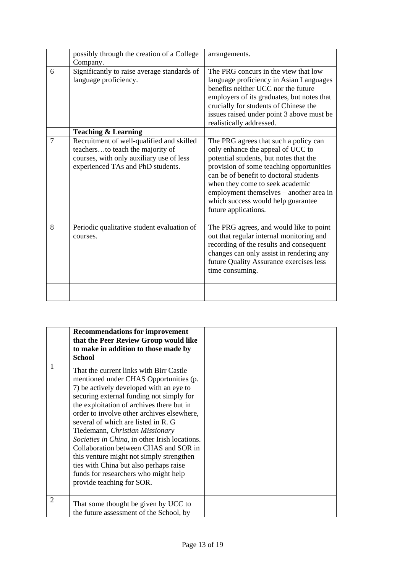|   | possibly through the creation of a College<br>Company.                                                                                                         | arrangements.                                                                                                                                                                                                                                                                                                                                          |
|---|----------------------------------------------------------------------------------------------------------------------------------------------------------------|--------------------------------------------------------------------------------------------------------------------------------------------------------------------------------------------------------------------------------------------------------------------------------------------------------------------------------------------------------|
| 6 | Significantly to raise average standards of<br>language proficiency.                                                                                           | The PRG concurs in the view that low<br>language proficiency in Asian Languages<br>benefits neither UCC nor the future<br>employers of its graduates, but notes that<br>crucially for students of Chinese the<br>issues raised under point 3 above must be<br>realistically addressed.                                                                 |
|   | <b>Teaching &amp; Learning</b>                                                                                                                                 |                                                                                                                                                                                                                                                                                                                                                        |
| 7 | Recruitment of well-qualified and skilled<br>teachersto teach the majority of<br>courses, with only auxiliary use of less<br>experienced TAs and PhD students. | The PRG agrees that such a policy can<br>only enhance the appeal of UCC to<br>potential students, but notes that the<br>provision of some teaching opportunities<br>can be of benefit to doctoral students<br>when they come to seek academic<br>employment themselves – another area in<br>which success would help guarantee<br>future applications. |
| 8 | Periodic qualitative student evaluation of<br>courses.                                                                                                         | The PRG agrees, and would like to point<br>out that regular internal monitoring and<br>recording of the results and consequent<br>changes can only assist in rendering any<br>future Quality Assurance exercises less<br>time consuming.                                                                                                               |
|   |                                                                                                                                                                |                                                                                                                                                                                                                                                                                                                                                        |

|   | <b>Recommendations for improvement</b><br>that the Peer Review Group would like<br>to make in addition to those made by<br>School                                                                                                                                                                                                                                                                                                                                                                                                                                                                   |  |
|---|-----------------------------------------------------------------------------------------------------------------------------------------------------------------------------------------------------------------------------------------------------------------------------------------------------------------------------------------------------------------------------------------------------------------------------------------------------------------------------------------------------------------------------------------------------------------------------------------------------|--|
| 1 | That the current links with Birr Castle<br>mentioned under CHAS Opportunities (p.<br>7) be actively developed with an eye to<br>securing external funding not simply for<br>the exploitation of archives there but in<br>order to involve other archives elsewhere,<br>several of which are listed in R. G.<br>Tiedemann, Christian Missionary<br>Societies in China, in other Irish locations.<br>Collaboration between CHAS and SOR in<br>this venture might not simply strengthen<br>ties with China but also perhaps raise<br>funds for researchers who might help<br>provide teaching for SOR. |  |
| 2 | That some thought be given by UCC to<br>the future assessment of the School, by                                                                                                                                                                                                                                                                                                                                                                                                                                                                                                                     |  |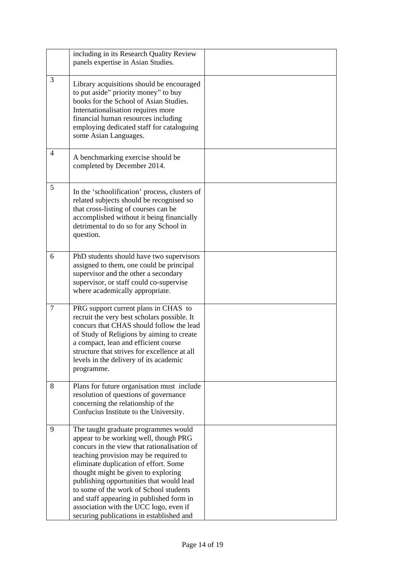|                | including in its Research Quality Review<br>panels expertise in Asian Studies.                                                                                                                                                                                                                                                                                                                                                                                                |  |
|----------------|-------------------------------------------------------------------------------------------------------------------------------------------------------------------------------------------------------------------------------------------------------------------------------------------------------------------------------------------------------------------------------------------------------------------------------------------------------------------------------|--|
| 3              | Library acquisitions should be encouraged<br>to put aside" priority money" to buy<br>books for the School of Asian Studies.<br>Internationalisation requires more<br>financial human resources including<br>employing dedicated staff for cataloguing<br>some Asian Languages.                                                                                                                                                                                                |  |
| 4              | A benchmarking exercise should be<br>completed by December 2014.                                                                                                                                                                                                                                                                                                                                                                                                              |  |
| 5              | In the 'schoolification' process, clusters of<br>related subjects should be recognised so<br>that cross-listing of courses can be<br>accomplished without it being financially<br>detrimental to do so for any School in<br>question.                                                                                                                                                                                                                                         |  |
| 6              | PhD students should have two supervisors<br>assigned to them, one could be principal<br>supervisor and the other a secondary<br>supervisor, or staff could co-supervise<br>where academically appropriate.                                                                                                                                                                                                                                                                    |  |
| $\overline{7}$ | PRG support current plans in CHAS to<br>recruit the very best scholars possible. It<br>concurs that CHAS should follow the lead<br>of Study of Religions by aiming to create<br>a compact, lean and efficient course<br>structure that strives for excellence at all<br>levels in the delivery of its academic<br>programme.                                                                                                                                                  |  |
| 8              | Plans for future organisation must include<br>resolution of questions of governance<br>concerning the relationship of the<br>Confucius Institute to the University.                                                                                                                                                                                                                                                                                                           |  |
| 9              | The taught graduate programmes would<br>appear to be working well, though PRG<br>concurs in the view that rationalisation of<br>teaching provision may be required to<br>eliminate duplication of effort. Some<br>thought might be given to exploring<br>publishing opportunities that would lead<br>to some of the work of School students<br>and staff appearing in published form in<br>association with the UCC logo, even if<br>securing publications in established and |  |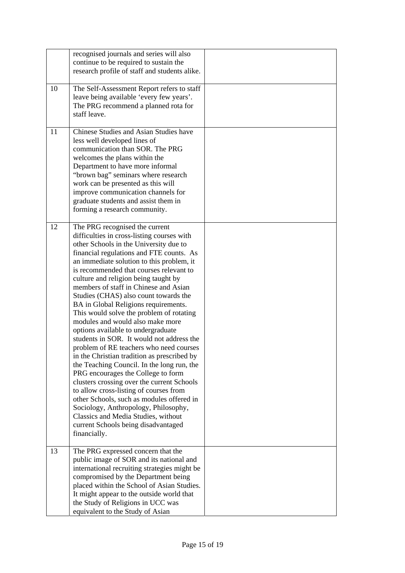|    | recognised journals and series will also<br>continue to be required to sustain the<br>research profile of staff and students alike.                                                                                                                                                                                                                                                                                                                                                                                                                                                                                                                                                                                                                                                                                                                                                                                                                                                                                                                      |  |
|----|----------------------------------------------------------------------------------------------------------------------------------------------------------------------------------------------------------------------------------------------------------------------------------------------------------------------------------------------------------------------------------------------------------------------------------------------------------------------------------------------------------------------------------------------------------------------------------------------------------------------------------------------------------------------------------------------------------------------------------------------------------------------------------------------------------------------------------------------------------------------------------------------------------------------------------------------------------------------------------------------------------------------------------------------------------|--|
| 10 | The Self-Assessment Report refers to staff<br>leave being available 'every few years'.<br>The PRG recommend a planned rota for<br>staff leave.                                                                                                                                                                                                                                                                                                                                                                                                                                                                                                                                                                                                                                                                                                                                                                                                                                                                                                           |  |
| 11 | Chinese Studies and Asian Studies have<br>less well developed lines of<br>communication than SOR. The PRG<br>welcomes the plans within the<br>Department to have more informal<br>"brown bag" seminars where research<br>work can be presented as this will<br>improve communication channels for<br>graduate students and assist them in<br>forming a research community.                                                                                                                                                                                                                                                                                                                                                                                                                                                                                                                                                                                                                                                                               |  |
| 12 | The PRG recognised the current<br>difficulties in cross-listing courses with<br>other Schools in the University due to<br>financial regulations and FTE counts. As<br>an immediate solution to this problem, it<br>is recommended that courses relevant to<br>culture and religion being taught by<br>members of staff in Chinese and Asian<br>Studies (CHAS) also count towards the<br>BA in Global Religions requirements.<br>This would solve the problem of rotating<br>modules and would also make more<br>options available to undergraduate<br>students in SOR. It would not address the<br>problem of RE teachers who need courses<br>in the Christian tradition as prescribed by<br>the Teaching Council. In the long run, the<br>PRG encourages the College to form<br>clusters crossing over the current Schools<br>to allow cross-listing of courses from<br>other Schools, such as modules offered in<br>Sociology, Anthropology, Philosophy,<br>Classics and Media Studies, without<br>current Schools being disadvantaged<br>financially. |  |
| 13 | The PRG expressed concern that the<br>public image of SOR and its national and<br>international recruiting strategies might be<br>compromised by the Department being<br>placed within the School of Asian Studies.<br>It might appear to the outside world that<br>the Study of Religions in UCC was<br>equivalent to the Study of Asian                                                                                                                                                                                                                                                                                                                                                                                                                                                                                                                                                                                                                                                                                                                |  |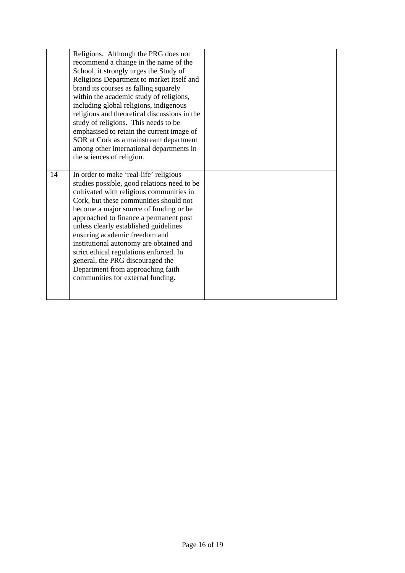|    | Religions. Although the PRG does not<br>recommend a change in the name of the<br>School, it strongly urges the Study of<br>Religions Department to market itself and<br>brand its courses as falling squarely<br>within the academic study of religions,<br>including global religions, indigenous<br>religions and theoretical discussions in the<br>study of religions. This needs to be<br>emphasised to retain the current image of<br>SOR at Cork as a mainstream department<br>among other international departments in<br>the sciences of religion. |  |
|----|------------------------------------------------------------------------------------------------------------------------------------------------------------------------------------------------------------------------------------------------------------------------------------------------------------------------------------------------------------------------------------------------------------------------------------------------------------------------------------------------------------------------------------------------------------|--|
|    |                                                                                                                                                                                                                                                                                                                                                                                                                                                                                                                                                            |  |
| 14 | In order to make 'real-life' religious<br>studies possible, good relations need to be<br>cultivated with religious communities in<br>Cork, but these communities should not<br>become a major source of funding or be<br>approached to finance a permanent post<br>unless clearly established guidelines<br>ensuring academic freedom and<br>institutional autonomy are obtained and<br>strict ethical regulations enforced. In<br>general, the PRG discouraged the<br>Department from approaching faith<br>communities for external funding.              |  |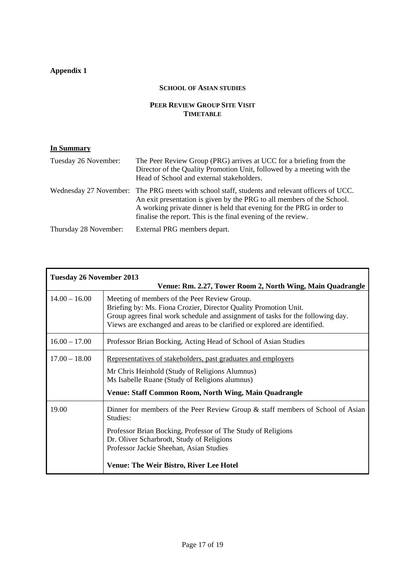## **Appendix 1**

## **SCHOOL OF ASIAN STUDIES**

## **PEER REVIEW GROUP SITE VISIT TIMETABLE**

| Tuesday 26 November:  | The Peer Review Group (PRG) arrives at UCC for a briefing from the<br>Director of the Quality Promotion Unit, followed by a meeting with the<br>Head of School and external stakeholders.                                                                                                                          |
|-----------------------|--------------------------------------------------------------------------------------------------------------------------------------------------------------------------------------------------------------------------------------------------------------------------------------------------------------------|
|                       | Wednesday 27 November: The PRG meets with school staff, students and relevant officers of UCC.<br>An exit presentation is given by the PRG to all members of the School.<br>A working private dinner is held that evening for the PRG in order to<br>finalise the report. This is the final evening of the review. |
| Thursday 28 November: | External PRG members depart.                                                                                                                                                                                                                                                                                       |

| <b>Tuesday 26 November 2013</b><br>Venue: Rm. 2.27, Tower Room 2, North Wing, Main Quadrangle |                                                                                                                                                                                                                                                                                                         |  |
|-----------------------------------------------------------------------------------------------|---------------------------------------------------------------------------------------------------------------------------------------------------------------------------------------------------------------------------------------------------------------------------------------------------------|--|
| $14.00 - 16.00$                                                                               | Meeting of members of the Peer Review Group.<br>Briefing by: Ms. Fiona Crozier, Director Quality Promotion Unit.<br>Group agrees final work schedule and assignment of tasks for the following day.<br>Views are exchanged and areas to be clarified or explored are identified.                        |  |
| $16.00 - 17.00$                                                                               | Professor Brian Bocking, Acting Head of School of Asian Studies                                                                                                                                                                                                                                         |  |
| $17.00 - 18.00$                                                                               | Representatives of stakeholders, past graduates and employers<br>Mr Chris Heinhold (Study of Religions Alumnus)<br>Ms Isabelle Ruane (Study of Religions alumnus)<br>Venue: Staff Common Room, North Wing, Main Quadrangle                                                                              |  |
| 19.00                                                                                         | Dinner for members of the Peer Review Group $\&$ staff members of School of Asian<br>Studies:<br>Professor Brian Bocking, Professor of The Study of Religions<br>Dr. Oliver Scharbrodt, Study of Religions<br>Professor Jackie Sheehan, Asian Studies<br><b>Venue: The Weir Bistro, River Lee Hotel</b> |  |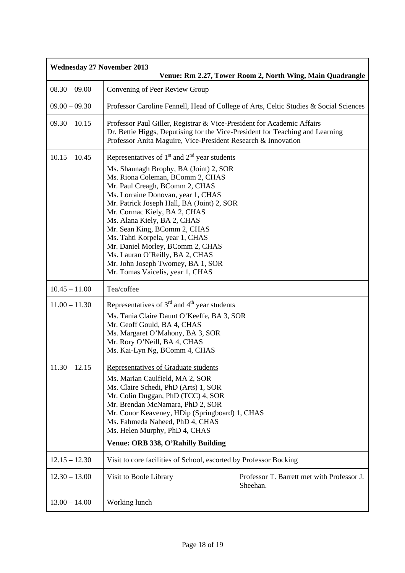| <b>Wednesday 27 November 2013</b><br>Venue: Rm 2.27, Tower Room 2, North Wing, Main Quadrangle |                                                                                                                                                                                                                                                                                                                                                                                                                                                                                                                                        |                                                        |
|------------------------------------------------------------------------------------------------|----------------------------------------------------------------------------------------------------------------------------------------------------------------------------------------------------------------------------------------------------------------------------------------------------------------------------------------------------------------------------------------------------------------------------------------------------------------------------------------------------------------------------------------|--------------------------------------------------------|
| $08.30 - 09.00$                                                                                | Convening of Peer Review Group                                                                                                                                                                                                                                                                                                                                                                                                                                                                                                         |                                                        |
| $09.00 - 09.30$                                                                                | Professor Caroline Fennell, Head of College of Arts, Celtic Studies & Social Sciences                                                                                                                                                                                                                                                                                                                                                                                                                                                  |                                                        |
| $09.30 - 10.15$                                                                                | Professor Paul Giller, Registrar & Vice-President for Academic Affairs<br>Dr. Bettie Higgs, Deputising for the Vice-President for Teaching and Learning<br>Professor Anita Maguire, Vice-President Research & Innovation                                                                                                                                                                                                                                                                                                               |                                                        |
| $10.15 - 10.45$                                                                                | Representatives of $1st$ and $2nd$ year students<br>Ms. Shaunagh Brophy, BA (Joint) 2, SOR<br>Ms. Riona Coleman, BComm 2, CHAS<br>Mr. Paul Creagh, BComm 2, CHAS<br>Ms. Lorraine Donovan, year 1, CHAS<br>Mr. Patrick Joseph Hall, BA (Joint) 2, SOR<br>Mr. Cormac Kiely, BA 2, CHAS<br>Ms. Alana Kiely, BA 2, CHAS<br>Mr. Sean King, BComm 2, CHAS<br>Ms. Tahti Korpela, year 1, CHAS<br>Mr. Daniel Morley, BComm 2, CHAS<br>Ms. Lauran O'Reilly, BA 2, CHAS<br>Mr. John Joseph Twomey, BA 1, SOR<br>Mr. Tomas Vaicelis, year 1, CHAS |                                                        |
| $10.45 - 11.00$                                                                                | Tea/coffee                                                                                                                                                                                                                                                                                                                                                                                                                                                                                                                             |                                                        |
| $11.00 - 11.30$                                                                                | Representatives of $3rd$ and $4th$ year students<br>Ms. Tania Claire Daunt O'Keeffe, BA 3, SOR<br>Mr. Geoff Gould, BA 4, CHAS<br>Ms. Margaret O'Mahony, BA 3, SOR<br>Mr. Rory O'Neill, BA 4, CHAS<br>Ms. Kai-Lyn Ng, BComm 4, CHAS                                                                                                                                                                                                                                                                                                     |                                                        |
| $11.30 - 12.15$                                                                                | Representatives of Graduate students<br>Ms. Marian Caulfield, MA 2, SOR<br>Ms. Claire Schedi, PhD (Arts) 1, SOR<br>Mr. Colin Duggan, PhD (TCC) 4, SOR<br>Mr. Brendan McNamara, PhD 2, SOR<br>Mr. Conor Keaveney, HDip (Springboard) 1, CHAS<br>Ms. Fahmeda Naheed, PhD 4, CHAS<br>Ms. Helen Murphy, PhD 4, CHAS<br>Venue: ORB 338, O'Rahilly Building                                                                                                                                                                                  |                                                        |
| $12.15 - 12.30$                                                                                | Visit to core facilities of School, escorted by Professor Bocking                                                                                                                                                                                                                                                                                                                                                                                                                                                                      |                                                        |
| $12.30 - 13.00$                                                                                | Visit to Boole Library                                                                                                                                                                                                                                                                                                                                                                                                                                                                                                                 | Professor T. Barrett met with Professor J.<br>Sheehan. |
| $13.00 - 14.00$                                                                                | Working lunch                                                                                                                                                                                                                                                                                                                                                                                                                                                                                                                          |                                                        |